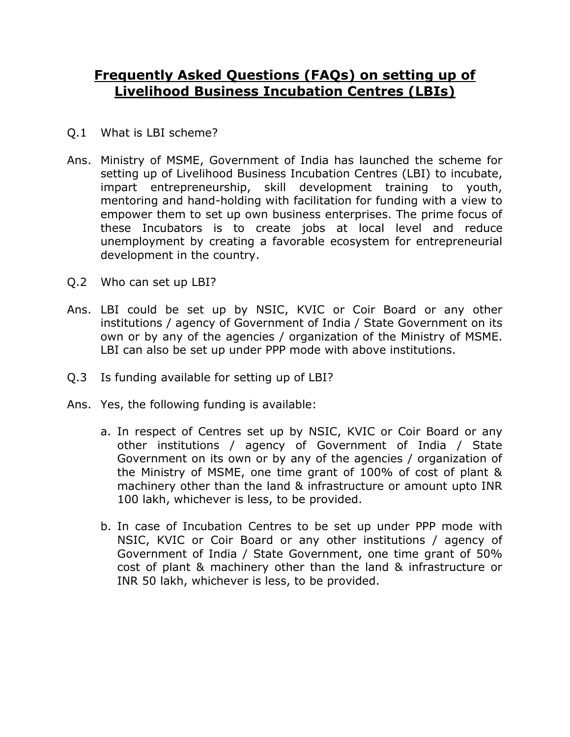## **Frequently Asked Questions (FAQs) on setting up of Livelihood Business Incubation Centres (LBIs)**

- Q.1 What is LBI scheme?
- Ans. Ministry of MSME, Government of India has launched the scheme for setting up of Livelihood Business Incubation Centres (LBI) to incubate, impart entrepreneurship, skill development training to youth, mentoring and hand-holding with facilitation for funding with a view to empower them to set up own business enterprises. The prime focus of these Incubators is to create jobs at local level and reduce unemployment by creating a favorable ecosystem for entrepreneurial development in the country.
- Q.2 Who can set up LBI?
- Ans. LBI could be set up by NSIC, KVIC or Coir Board or any other institutions / agency of Government of India / State Government on its own or by any of the agencies / organization of the Ministry of MSME. LBI can also be set up under PPP mode with above institutions.
- Q.3 Is funding available for setting up of LBI?
- Ans. Yes, the following funding is available:
	- a. In respect of Centres set up by NSIC, KVIC or Coir Board or any other institutions / agency of Government of India / State Government on its own or by any of the agencies / organization of the Ministry of MSME, one time grant of 100% of cost of plant & machinery other than the land & infrastructure or amount upto INR 100 lakh, whichever is less, to be provided.
	- b. In case of Incubation Centres to be set up under PPP mode with NSIC, KVIC or Coir Board or any other institutions / agency of Government of India / State Government, one time grant of 50% cost of plant & machinery other than the land & infrastructure or INR 50 lakh, whichever is less, to be provided.